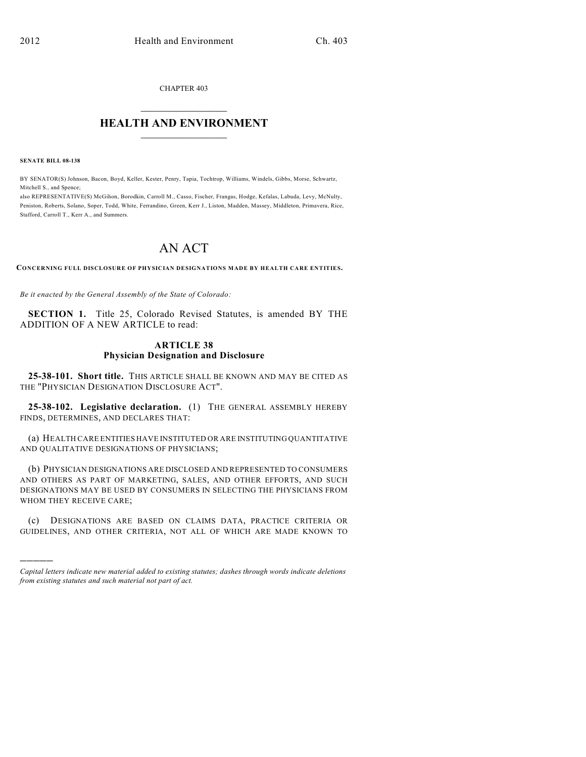CHAPTER 403

## $\overline{\phantom{a}}$  . The set of the set of the set of the set of the set of the set of the set of the set of the set of the set of the set of the set of the set of the set of the set of the set of the set of the set of the set o **HEALTH AND ENVIRONMENT**  $\_$

**SENATE BILL 08-138**

)))))

BY SENATOR(S) Johnson, Bacon, Boyd, Keller, Kester, Penry, Tapia, Tochtrop, Williams, Windels, Gibbs, Morse, Schwartz, Mitchell S., and Spence;

also REPRESENTATIVE(S) McGihon, Borodkin, Carroll M., Casso, Fischer, Frangas, Hodge, Kefalas, Labuda, Levy, McNulty, Peniston, Roberts, Solano, Soper, Todd, White, Ferrandino, Green, Kerr J., Liston, Madden, Massey, Middleton, Primavera, Rice, Stafford, Carroll T., Kerr A., and Summers.

## AN ACT

**CONCERNING FULL DISCLOSURE OF PHYSICIAN DESIGNATIONS MADE BY HEALTH CARE ENTITIES.**

*Be it enacted by the General Assembly of the State of Colorado:*

**SECTION 1.** Title 25, Colorado Revised Statutes, is amended BY THE ADDITION OF A NEW ARTICLE to read:

## **ARTICLE 38 Physician Designation and Disclosure**

**25-38-101. Short title.** THIS ARTICLE SHALL BE KNOWN AND MAY BE CITED AS THE "PHYSICIAN DESIGNATION DISCLOSURE ACT".

**25-38-102. Legislative declaration.** (1) THE GENERAL ASSEMBLY HEREBY FINDS, DETERMINES, AND DECLARES THAT:

(a) HEALTH CARE ENTITIES HAVE INSTITUTED OR ARE INSTITUTING QUANTITATIVE AND QUALITATIVE DESIGNATIONS OF PHYSICIANS;

(b) PHYSICIAN DESIGNATIONS ARE DISCLOSED AND REPRESENTED TO CONSUMERS AND OTHERS AS PART OF MARKETING, SALES, AND OTHER EFFORTS, AND SUCH DESIGNATIONS MAY BE USED BY CONSUMERS IN SELECTING THE PHYSICIANS FROM WHOM THEY RECEIVE CARE;

(c) DESIGNATIONS ARE BASED ON CLAIMS DATA, PRACTICE CRITERIA OR GUIDELINES, AND OTHER CRITERIA, NOT ALL OF WHICH ARE MADE KNOWN TO

*Capital letters indicate new material added to existing statutes; dashes through words indicate deletions from existing statutes and such material not part of act.*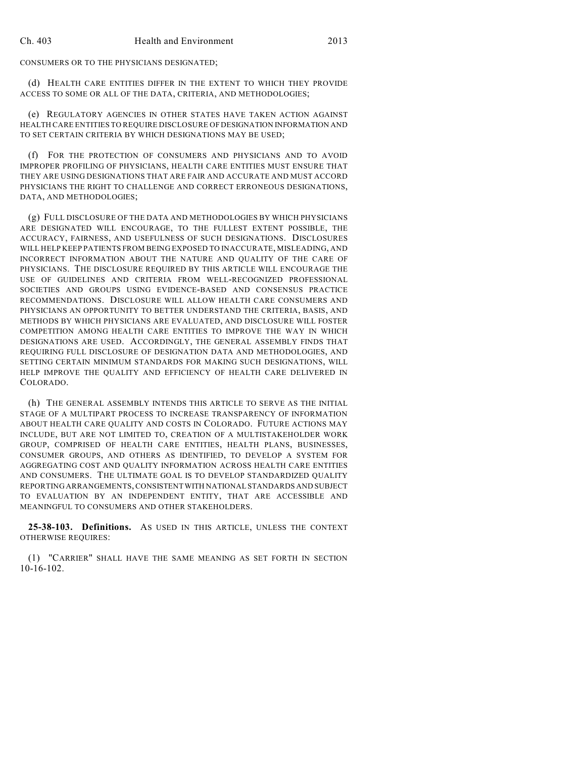CONSUMERS OR TO THE PHYSICIANS DESIGNATED;

(d) HEALTH CARE ENTITIES DIFFER IN THE EXTENT TO WHICH THEY PROVIDE ACCESS TO SOME OR ALL OF THE DATA, CRITERIA, AND METHODOLOGIES;

(e) REGULATORY AGENCIES IN OTHER STATES HAVE TAKEN ACTION AGAINST HEALTH CARE ENTITIES TO REQUIRE DISCLOSURE OF DESIGNATION INFORMATION AND TO SET CERTAIN CRITERIA BY WHICH DESIGNATIONS MAY BE USED;

(f) FOR THE PROTECTION OF CONSUMERS AND PHYSICIANS AND TO AVOID IMPROPER PROFILING OF PHYSICIANS, HEALTH CARE ENTITIES MUST ENSURE THAT THEY ARE USING DESIGNATIONS THAT ARE FAIR AND ACCURATE AND MUST ACCORD PHYSICIANS THE RIGHT TO CHALLENGE AND CORRECT ERRONEOUS DESIGNATIONS, DATA, AND METHODOLOGIES;

(g) FULL DISCLOSURE OF THE DATA AND METHODOLOGIES BY WHICH PHYSICIANS ARE DESIGNATED WILL ENCOURAGE, TO THE FULLEST EXTENT POSSIBLE, THE ACCURACY, FAIRNESS, AND USEFULNESS OF SUCH DESIGNATIONS. DISCLOSURES WILL HELP KEEP PATIENTS FROM BEING EXPOSED TO INACCURATE, MISLEADING, AND INCORRECT INFORMATION ABOUT THE NATURE AND QUALITY OF THE CARE OF PHYSICIANS. THE DISCLOSURE REQUIRED BY THIS ARTICLE WILL ENCOURAGE THE USE OF GUIDELINES AND CRITERIA FROM WELL-RECOGNIZED PROFESSIONAL SOCIETIES AND GROUPS USING EVIDENCE-BASED AND CONSENSUS PRACTICE RECOMMENDATIONS. DISCLOSURE WILL ALLOW HEALTH CARE CONSUMERS AND PHYSICIANS AN OPPORTUNITY TO BETTER UNDERSTAND THE CRITERIA, BASIS, AND METHODS BY WHICH PHYSICIANS ARE EVALUATED, AND DISCLOSURE WILL FOSTER COMPETITION AMONG HEALTH CARE ENTITIES TO IMPROVE THE WAY IN WHICH DESIGNATIONS ARE USED. ACCORDINGLY, THE GENERAL ASSEMBLY FINDS THAT REQUIRING FULL DISCLOSURE OF DESIGNATION DATA AND METHODOLOGIES, AND SETTING CERTAIN MINIMUM STANDARDS FOR MAKING SUCH DESIGNATIONS, WILL HELP IMPROVE THE QUALITY AND EFFICIENCY OF HEALTH CARE DELIVERED IN COLORADO.

(h) THE GENERAL ASSEMBLY INTENDS THIS ARTICLE TO SERVE AS THE INITIAL STAGE OF A MULTIPART PROCESS TO INCREASE TRANSPARENCY OF INFORMATION ABOUT HEALTH CARE QUALITY AND COSTS IN COLORADO. FUTURE ACTIONS MAY INCLUDE, BUT ARE NOT LIMITED TO, CREATION OF A MULTISTAKEHOLDER WORK GROUP, COMPRISED OF HEALTH CARE ENTITIES, HEALTH PLANS, BUSINESSES, CONSUMER GROUPS, AND OTHERS AS IDENTIFIED, TO DEVELOP A SYSTEM FOR AGGREGATING COST AND QUALITY INFORMATION ACROSS HEALTH CARE ENTITIES AND CONSUMERS. THE ULTIMATE GOAL IS TO DEVELOP STANDARDIZED QUALITY REPORTING ARRANGEMENTS, CONSISTENT WITH NATIONAL STANDARDS AND SUBJECT TO EVALUATION BY AN INDEPENDENT ENTITY, THAT ARE ACCESSIBLE AND MEANINGFUL TO CONSUMERS AND OTHER STAKEHOLDERS.

**25-38-103. Definitions.** AS USED IN THIS ARTICLE, UNLESS THE CONTEXT OTHERWISE REQUIRES:

(1) "CARRIER" SHALL HAVE THE SAME MEANING AS SET FORTH IN SECTION 10-16-102.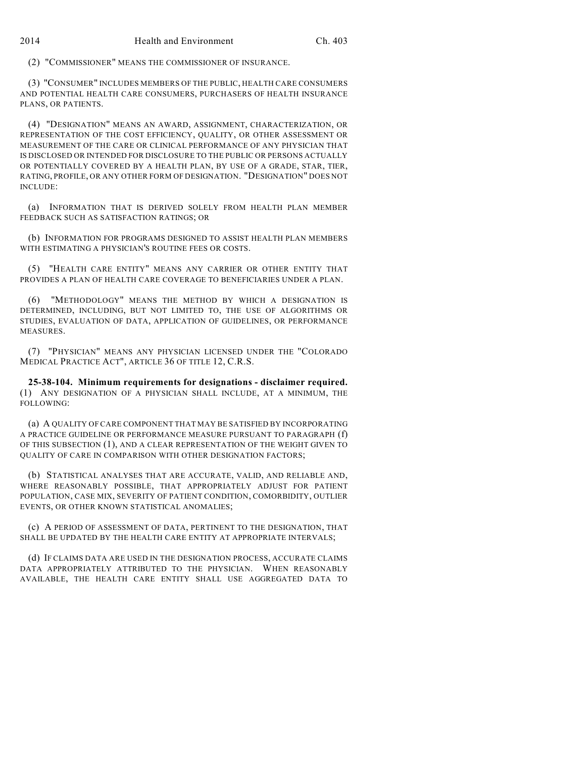(2) "COMMISSIONER" MEANS THE COMMISSIONER OF INSURANCE.

(3) "CONSUMER" INCLUDES MEMBERS OF THE PUBLIC, HEALTH CARE CONSUMERS AND POTENTIAL HEALTH CARE CONSUMERS, PURCHASERS OF HEALTH INSURANCE PLANS, OR PATIENTS.

(4) "DESIGNATION" MEANS AN AWARD, ASSIGNMENT, CHARACTERIZATION, OR REPRESENTATION OF THE COST EFFICIENCY, QUALITY, OR OTHER ASSESSMENT OR MEASUREMENT OF THE CARE OR CLINICAL PERFORMANCE OF ANY PHYSICIAN THAT IS DISCLOSED OR INTENDED FOR DISCLOSURE TO THE PUBLIC OR PERSONS ACTUALLY OR POTENTIALLY COVERED BY A HEALTH PLAN, BY USE OF A GRADE, STAR, TIER, RATING, PROFILE, OR ANY OTHER FORM OF DESIGNATION. "DESIGNATION" DOES NOT INCLUDE:

(a) INFORMATION THAT IS DERIVED SOLELY FROM HEALTH PLAN MEMBER FEEDBACK SUCH AS SATISFACTION RATINGS; OR

(b) INFORMATION FOR PROGRAMS DESIGNED TO ASSIST HEALTH PLAN MEMBERS WITH ESTIMATING A PHYSICIAN'S ROUTINE FEES OR COSTS.

(5) "HEALTH CARE ENTITY" MEANS ANY CARRIER OR OTHER ENTITY THAT PROVIDES A PLAN OF HEALTH CARE COVERAGE TO BENEFICIARIES UNDER A PLAN.

(6) "METHODOLOGY" MEANS THE METHOD BY WHICH A DESIGNATION IS DETERMINED, INCLUDING, BUT NOT LIMITED TO, THE USE OF ALGORITHMS OR STUDIES, EVALUATION OF DATA, APPLICATION OF GUIDELINES, OR PERFORMANCE MEASURES.

(7) "PHYSICIAN" MEANS ANY PHYSICIAN LICENSED UNDER THE "COLORADO MEDICAL PRACTICE ACT", ARTICLE 36 OF TITLE 12, C.R.S.

**25-38-104. Minimum requirements for designations - disclaimer required.** (1) ANY DESIGNATION OF A PHYSICIAN SHALL INCLUDE, AT A MINIMUM, THE FOLLOWING:

(a) A QUALITY OF CARE COMPONENT THAT MAY BE SATISFIED BY INCORPORATING A PRACTICE GUIDELINE OR PERFORMANCE MEASURE PURSUANT TO PARAGRAPH (f) OF THIS SUBSECTION (1), AND A CLEAR REPRESENTATION OF THE WEIGHT GIVEN TO QUALITY OF CARE IN COMPARISON WITH OTHER DESIGNATION FACTORS;

(b) STATISTICAL ANALYSES THAT ARE ACCURATE, VALID, AND RELIABLE AND, WHERE REASONABLY POSSIBLE, THAT APPROPRIATELY ADJUST FOR PATIENT POPULATION, CASE MIX, SEVERITY OF PATIENT CONDITION, COMORBIDITY, OUTLIER EVENTS, OR OTHER KNOWN STATISTICAL ANOMALIES;

(c) A PERIOD OF ASSESSMENT OF DATA, PERTINENT TO THE DESIGNATION, THAT SHALL BE UPDATED BY THE HEALTH CARE ENTITY AT APPROPRIATE INTERVALS;

(d) IF CLAIMS DATA ARE USED IN THE DESIGNATION PROCESS, ACCURATE CLAIMS DATA APPROPRIATELY ATTRIBUTED TO THE PHYSICIAN. WHEN REASONABLY AVAILABLE, THE HEALTH CARE ENTITY SHALL USE AGGREGATED DATA TO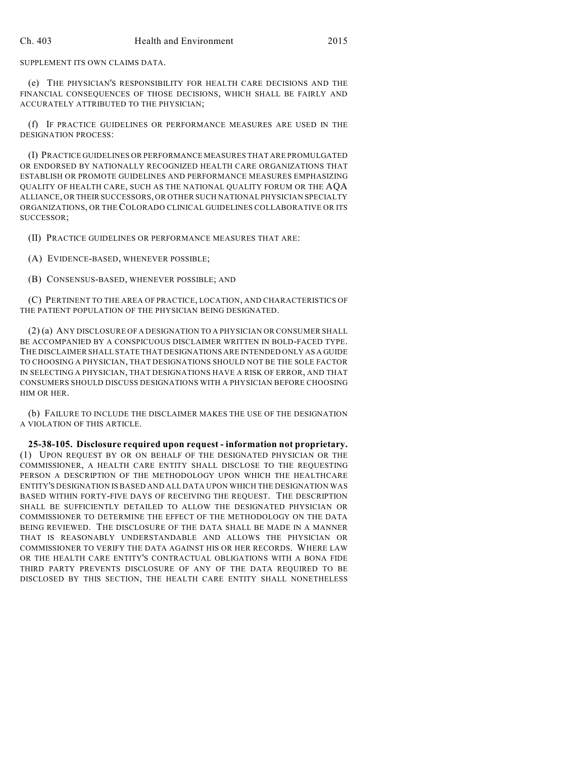SUPPLEMENT ITS OWN CLAIMS DATA.

(e) THE PHYSICIAN'S RESPONSIBILITY FOR HEALTH CARE DECISIONS AND THE FINANCIAL CONSEQUENCES OF THOSE DECISIONS, WHICH SHALL BE FAIRLY AND ACCURATELY ATTRIBUTED TO THE PHYSICIAN;

(f) IF PRACTICE GUIDELINES OR PERFORMANCE MEASURES ARE USED IN THE DESIGNATION PROCESS:

(I) PRACTICE GUIDELINES OR PERFORMANCE MEASURES THAT ARE PROMULGATED OR ENDORSED BY NATIONALLY RECOGNIZED HEALTH CARE ORGANIZATIONS THAT ESTABLISH OR PROMOTE GUIDELINES AND PERFORMANCE MEASURES EMPHASIZING QUALITY OF HEALTH CARE, SUCH AS THE NATIONAL QUALITY FORUM OR THE AQA ALLIANCE, OR THEIR SUCCESSORS, OR OTHER SUCH NATIONAL PHYSICIAN SPECIALTY ORGANIZATIONS, OR THE COLORADO CLINICAL GUIDELINES COLLABORATIVE OR ITS SUCCESSOR;

(II) PRACTICE GUIDELINES OR PERFORMANCE MEASURES THAT ARE:

(A) EVIDENCE-BASED, WHENEVER POSSIBLE;

(B) CONSENSUS-BASED, WHENEVER POSSIBLE; AND

(C) PERTINENT TO THE AREA OF PRACTICE, LOCATION, AND CHARACTERISTICS OF THE PATIENT POPULATION OF THE PHYSICIAN BEING DESIGNATED.

(2) (a) ANY DISCLOSURE OF A DESIGNATION TO A PHYSICIAN OR CONSUMER SHALL BE ACCOMPANIED BY A CONSPICUOUS DISCLAIMER WRITTEN IN BOLD-FACED TYPE. THE DISCLAIMER SHALL STATE THAT DESIGNATIONS ARE INTENDED ONLY AS A GUIDE TO CHOOSING A PHYSICIAN, THAT DESIGNATIONS SHOULD NOT BE THE SOLE FACTOR IN SELECTING A PHYSICIAN, THAT DESIGNATIONS HAVE A RISK OF ERROR, AND THAT CONSUMERS SHOULD DISCUSS DESIGNATIONS WITH A PHYSICIAN BEFORE CHOOSING HIM OR HER.

(b) FAILURE TO INCLUDE THE DISCLAIMER MAKES THE USE OF THE DESIGNATION A VIOLATION OF THIS ARTICLE.

**25-38-105. Disclosure required upon request - information not proprietary.** (1) UPON REQUEST BY OR ON BEHALF OF THE DESIGNATED PHYSICIAN OR THE COMMISSIONER, A HEALTH CARE ENTITY SHALL DISCLOSE TO THE REQUESTING PERSON A DESCRIPTION OF THE METHODOLOGY UPON WHICH THE HEALTHCARE ENTITY'S DESIGNATION IS BASED AND ALL DATA UPON WHICH THE DESIGNATION WAS BASED WITHIN FORTY-FIVE DAYS OF RECEIVING THE REQUEST. THE DESCRIPTION SHALL BE SUFFICIENTLY DETAILED TO ALLOW THE DESIGNATED PHYSICIAN OR COMMISSIONER TO DETERMINE THE EFFECT OF THE METHODOLOGY ON THE DATA BEING REVIEWED. THE DISCLOSURE OF THE DATA SHALL BE MADE IN A MANNER THAT IS REASONABLY UNDERSTANDABLE AND ALLOWS THE PHYSICIAN OR COMMISSIONER TO VERIFY THE DATA AGAINST HIS OR HER RECORDS. WHERE LAW OR THE HEALTH CARE ENTITY'S CONTRACTUAL OBLIGATIONS WITH A BONA FIDE THIRD PARTY PREVENTS DISCLOSURE OF ANY OF THE DATA REQUIRED TO BE DISCLOSED BY THIS SECTION, THE HEALTH CARE ENTITY SHALL NONETHELESS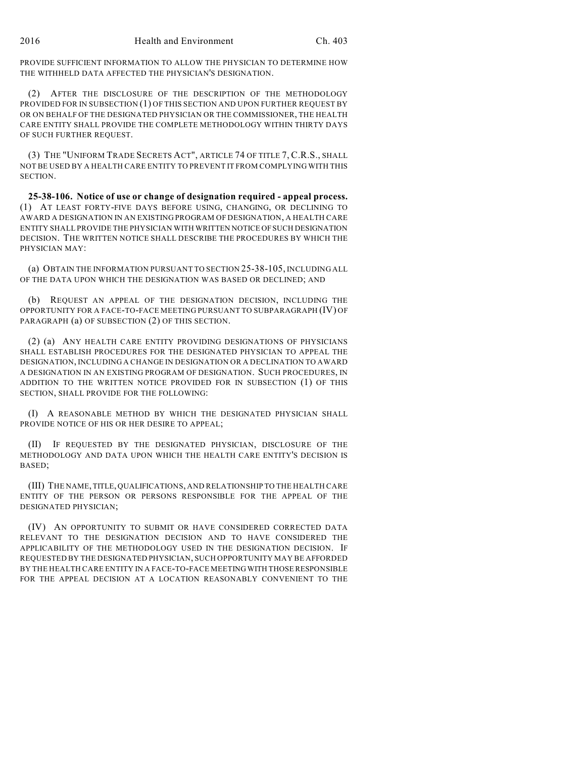PROVIDE SUFFICIENT INFORMATION TO ALLOW THE PHYSICIAN TO DETERMINE HOW THE WITHHELD DATA AFFECTED THE PHYSICIAN'S DESIGNATION.

(2) AFTER THE DISCLOSURE OF THE DESCRIPTION OF THE METHODOLOGY PROVIDED FOR IN SUBSECTION (1) OF THIS SECTION AND UPON FURTHER REQUEST BY OR ON BEHALF OF THE DESIGNATED PHYSICIAN OR THE COMMISSIONER, THE HEALTH CARE ENTITY SHALL PROVIDE THE COMPLETE METHODOLOGY WITHIN THIRTY DAYS OF SUCH FURTHER REQUEST.

(3) THE "UNIFORM TRADE SECRETS ACT", ARTICLE 74 OF TITLE 7, C.R.S., SHALL NOT BE USED BY A HEALTH CARE ENTITY TO PREVENT IT FROM COMPLYING WITH THIS SECTION.

**25-38-106. Notice of use or change of designation required - appeal process.** (1) AT LEAST FORTY-FIVE DAYS BEFORE USING, CHANGING, OR DECLINING TO AWARD A DESIGNATION IN AN EXISTING PROGRAM OF DESIGNATION, A HEALTH CARE ENTITY SHALL PROVIDE THE PHYSICIAN WITH WRITTEN NOTICE OF SUCH DESIGNATION DECISION. THE WRITTEN NOTICE SHALL DESCRIBE THE PROCEDURES BY WHICH THE PHYSICIAN MAY:

(a) OBTAIN THE INFORMATION PURSUANT TO SECTION 25-38-105, INCLUDING ALL OF THE DATA UPON WHICH THE DESIGNATION WAS BASED OR DECLINED; AND

(b) REQUEST AN APPEAL OF THE DESIGNATION DECISION, INCLUDING THE OPPORTUNITY FOR A FACE-TO-FACE MEETING PURSUANT TO SUBPARAGRAPH (IV) OF PARAGRAPH (a) OF SUBSECTION (2) OF THIS SECTION.

(2) (a) ANY HEALTH CARE ENTITY PROVIDING DESIGNATIONS OF PHYSICIANS SHALL ESTABLISH PROCEDURES FOR THE DESIGNATED PHYSICIAN TO APPEAL THE DESIGNATION, INCLUDING A CHANGE IN DESIGNATION OR A DECLINATION TO AWARD A DESIGNATION IN AN EXISTING PROGRAM OF DESIGNATION. SUCH PROCEDURES, IN ADDITION TO THE WRITTEN NOTICE PROVIDED FOR IN SUBSECTION (1) OF THIS SECTION, SHALL PROVIDE FOR THE FOLLOWING:

(I) A REASONABLE METHOD BY WHICH THE DESIGNATED PHYSICIAN SHALL PROVIDE NOTICE OF HIS OR HER DESIRE TO APPEAL;

(II) IF REQUESTED BY THE DESIGNATED PHYSICIAN, DISCLOSURE OF THE METHODOLOGY AND DATA UPON WHICH THE HEALTH CARE ENTITY'S DECISION IS BASED;

(III) THE NAME, TITLE, QUALIFICATIONS, AND RELATIONSHIP TO THE HEALTH CARE ENTITY OF THE PERSON OR PERSONS RESPONSIBLE FOR THE APPEAL OF THE DESIGNATED PHYSICIAN;

(IV) AN OPPORTUNITY TO SUBMIT OR HAVE CONSIDERED CORRECTED DATA RELEVANT TO THE DESIGNATION DECISION AND TO HAVE CONSIDERED THE APPLICABILITY OF THE METHODOLOGY USED IN THE DESIGNATION DECISION. IF REQUESTED BY THE DESIGNATED PHYSICIAN, SUCH OPPORTUNITY MAY BE AFFORDED BY THE HEALTH CARE ENTITY IN A FACE-TO-FACE MEETING WITH THOSE RESPONSIBLE FOR THE APPEAL DECISION AT A LOCATION REASONABLY CONVENIENT TO THE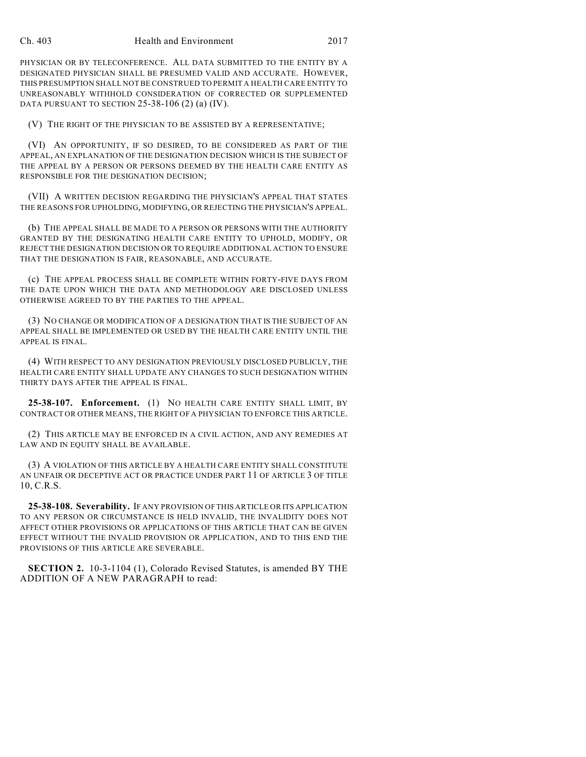PHYSICIAN OR BY TELECONFERENCE. ALL DATA SUBMITTED TO THE ENTITY BY A DESIGNATED PHYSICIAN SHALL BE PRESUMED VALID AND ACCURATE. HOWEVER, THIS PRESUMPTION SHALL NOT BE CONSTRUED TO PERMIT A HEALTH CARE ENTITY TO UNREASONABLY WITHHOLD CONSIDERATION OF CORRECTED OR SUPPLEMENTED DATA PURSUANT TO SECTION 25-38-106 (2) (a) (IV).

(V) THE RIGHT OF THE PHYSICIAN TO BE ASSISTED BY A REPRESENTATIVE;

(VI) AN OPPORTUNITY, IF SO DESIRED, TO BE CONSIDERED AS PART OF THE APPEAL, AN EXPLANATION OF THE DESIGNATION DECISION WHICH IS THE SUBJECT OF THE APPEAL BY A PERSON OR PERSONS DEEMED BY THE HEALTH CARE ENTITY AS RESPONSIBLE FOR THE DESIGNATION DECISION;

(VII) A WRITTEN DECISION REGARDING THE PHYSICIAN'S APPEAL THAT STATES THE REASONS FOR UPHOLDING, MODIFYING, OR REJECTING THE PHYSICIAN'S APPEAL.

(b) THE APPEAL SHALL BE MADE TO A PERSON OR PERSONS WITH THE AUTHORITY GRANTED BY THE DESIGNATING HEALTH CARE ENTITY TO UPHOLD, MODIFY, OR REJECT THE DESIGNATION DECISION OR TO REQUIRE ADDITIONAL ACTION TO ENSURE THAT THE DESIGNATION IS FAIR, REASONABLE, AND ACCURATE.

(c) THE APPEAL PROCESS SHALL BE COMPLETE WITHIN FORTY-FIVE DAYS FROM THE DATE UPON WHICH THE DATA AND METHODOLOGY ARE DISCLOSED UNLESS OTHERWISE AGREED TO BY THE PARTIES TO THE APPEAL.

(3) NO CHANGE OR MODIFICATION OF A DESIGNATION THAT IS THE SUBJECT OF AN APPEAL SHALL BE IMPLEMENTED OR USED BY THE HEALTH CARE ENTITY UNTIL THE APPEAL IS FINAL.

(4) WITH RESPECT TO ANY DESIGNATION PREVIOUSLY DISCLOSED PUBLICLY, THE HEALTH CARE ENTITY SHALL UPDATE ANY CHANGES TO SUCH DESIGNATION WITHIN THIRTY DAYS AFTER THE APPEAL IS FINAL.

**25-38-107. Enforcement.** (1) NO HEALTH CARE ENTITY SHALL LIMIT, BY CONTRACT OR OTHER MEANS, THE RIGHT OF A PHYSICIAN TO ENFORCE THIS ARTICLE.

(2) THIS ARTICLE MAY BE ENFORCED IN A CIVIL ACTION, AND ANY REMEDIES AT LAW AND IN EQUITY SHALL BE AVAILABLE.

(3) A VIOLATION OF THIS ARTICLE BY A HEALTH CARE ENTITY SHALL CONSTITUTE AN UNFAIR OR DECEPTIVE ACT OR PRACTICE UNDER PART 11 OF ARTICLE 3 OF TITLE 10, C.R.S.

**25-38-108. Severability.** IF ANY PROVISION OF THIS ARTICLE OR ITS APPLICATION TO ANY PERSON OR CIRCUMSTANCE IS HELD INVALID, THE INVALIDITY DOES NOT AFFECT OTHER PROVISIONS OR APPLICATIONS OF THIS ARTICLE THAT CAN BE GIVEN EFFECT WITHOUT THE INVALID PROVISION OR APPLICATION, AND TO THIS END THE PROVISIONS OF THIS ARTICLE ARE SEVERABLE.

**SECTION 2.** 10-3-1104 (1), Colorado Revised Statutes, is amended BY THE ADDITION OF A NEW PARAGRAPH to read: